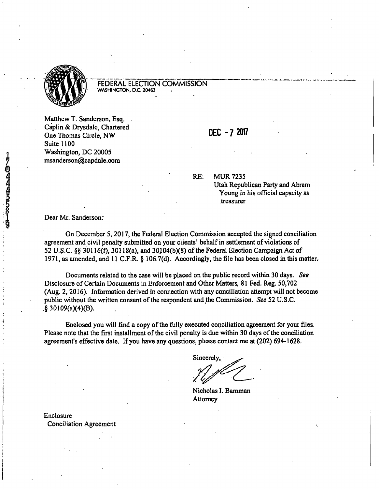

## FEDERAL ELECTION COMMISSION **WASHINGTON, D.C. 20463**

Matthew T. Sanderson, Esq. Caplin & Drysdale, Chartered  $\overline{O}$  DEC - 7 2017 **One Thomas Circle, NW** Suite 1100 Washington, DC 20005 msanderson@capdale.com

RE: MUR 7235

Utah Republican Party and Abram Young in his official capacity as treasurer

Dear Mr. Sanderson:

On December 5,2017, the Federal Election Commission accepted the signed conciliation agreement and civil penalty submitted on your clients' behalf in settlement of violations of 52 U.S.C. §§ 30116(f), 30118(a), and 30104(b)(8) of the Federal Election Campaign Act of 1971, as amended, and 11 C.F.R. § 106.7(d). Accordingly, the file has been closed in this matter.

Documents related to the case will be placed on the public record within 30 days. See Disclosure of Certain Documents in Enforcement and Other Matters, 81 Fed. Reg. 50,702 (Aug. 2,2016). Information derived in connection with any conciliation attempt will not become public without the written consent of the respondent and the Commission. See 52 U.S.C. § 30109(a)(4)(B).

Enclosed you will find a copy of the fully executed conciliation agreement for your files. Please note that the first installment of the civil penalty is due within 30 days of the conciliation agreement's effective date. If you have any questions, please contact me at (202) 694-1628.

Sincerely,

Nicholas I. Bamman Attorney

Enclosure Conciliation Agreement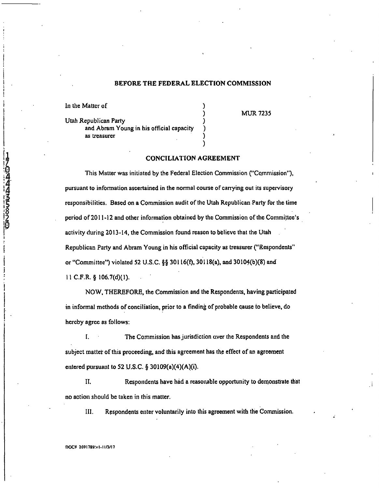## **BEFORE THE FEDERAL ELECTION COMMISSION**

In the Matter of

けんねん はちゅうゆ

Utah Republican Party and Abram Young in his official capacity as treasurer

**MUR7235** 

## **CONCILIATION AGREEMENT**

This Matter was initiated by the Federal Election Commission ("Commission"), pursuant to information ascertained in the normal course of carrying out its supervisory responsibilities. Based on a Commission audit of the Utah Republican Party for the time period of 2011-12 and other information obtained by the Commission of the Committee's activity during 2013-14, the Commission found reason to believe that the Utah Republican Party and Abram Young in his official capacity as treasurer ("Respondents" or "Committee") violated 52 U.S.C. §§ 30116(f), 30118(a), and 30104(b)(8) and 11 C.F.R. § 106.7(d)(1).

NOW, THEREFORE, the Commission and the Respondents, having participated in informal methods of conciliation, prior to a finding of probable cause to believe, do hereby agree as follows;

I. The Commission hasjurisdiction over the Respondents and the subject matter of this proceeding, and this agreement has the effect of an agreement entered pursuant to 52 U.S.C. § 30109(a)(4)(A)(i).

II. Respondents have had a reasonable opportunity to demonstrate that no action should be taken in this matter.

111. Respondents enter voluntarily into this agreement with the Commission.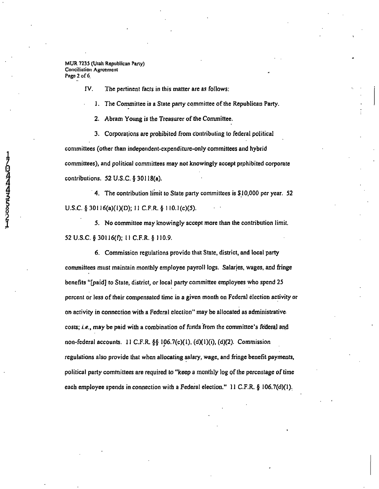MUR 723S (Utah Republican Parly) Conciliation Agreement Page 2 of 6.

IV. The pertinent facts in this matter are as follows:

1. The Committee is a State party committee of the Republican Party.

2. Abram Young is the Treasurer of the Committee.

3. Corporations are prohibited from contributing to federal political committees (other than independent-expenditure-only committees and hybrid committees), and political committees may not knowingly accept prohibited corporate contributions. 52 U.S.C. § 30118(a).

4. The contribution limit to State party committees is SI 0,000 per year. 52 U.S.C. § 30116(a)(1)(D); 11 C.F.R. § 110.1(c)(5).

5. No committee may knowingly accept more than the contribution limit. 52 U.S.C. § 30116(f); 11 C.F.R. § II0.9.

6. Commission regulations provide that State, district, and local party cormnittees must maintain monthly employee payroll logs. Salarjes, wages, and fringe benefits "[paid] to State, district, or local party committee employees who spend 25 percent or less of their compensated time in a given month on Federal election activity or on activity in connection with a Federal election" may be allocated as administrative costs; i.e., may be paid with a combination of flinds from the committee's federal and non-federal accounts. 11 C.F.R. §§ 106.7(c)(1), (d)(1)(i), (d)(2). Commission regulations also provide that when allocating salary, wage, and fringe benefit payments, political party committees are required to "keep a monthly log of the percentage of time each employee spends in connection with a Federal election." 11 C.F.R. § 106.7(d)(1).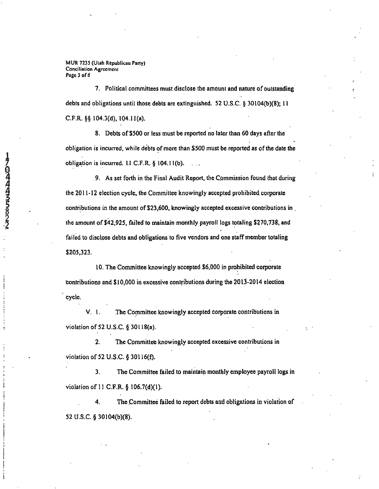**MUR 7235 (Ulah Republican Party) Conciliation Agreement Page 3 of 6** 

7. Political committees must disclose the amount and nature of outstanding debts and obligations until those debts are extinguished. 52 U.S.C. § 30104(b)(8); 11 C.F.R.§§ 104.3(d). 104.11(a).

8. Debts of SSOO or less must be reported no later than 60 days after the obligation is incurred, while debts of more than \$500 must be reported as of the date the obligation is incurred. 1.1 C.F.R.  $\S$  104.11(b).

9. As set forth in the Final Audit Report, the Commission found that during the 2011 -12 election cycle, the Committee knowingly accepted prohibited corporate contributions in the amount of \$23,600, knowingly accepted excessive contributions in , the amount of \$42,925, failed to maintain monthly payroll logs totaling \$270,738, and failed to disclose debts and obligations to five vendors and one staff member totaling \$205,323.

10. The Committee knowingly accepted \$6,000 in prohibited corporate contributions and \$10,000 in excessive contributions during the 2013-2014 election cycle.

V. 1. The Committee knowingly accepted corporate contributions in violation of 52 U.S.C. § 30118(a).

2. The Committee knowingly accepted excessive contributions in violation of 52 U.S.C. § 30116(f).

3. The Committee failed to maintain monthly employee payroll logs in violation of 11 C.F.R. § 106.7(d)(1).

4. The Committee failed to report debts and obligations in violation of 52 U.S.C. § 30104(b)(8).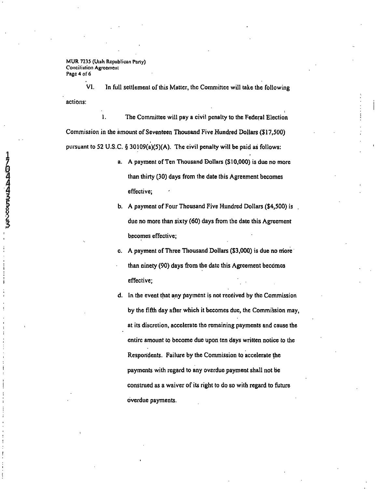MUR 7235 (Uiuh Republican Party) Conciliation Agreement Page 4 of 6

VI. In full settlement of this Matter, the Committee will take the following

actions:

1. The Committee will pay a civil penalty to the Federal Election Commission in the amount of Seventeen Thousand Five Hundred Dollars (517,500) pursuant to 52 U.S.C. § 30109(a)(5)(A). The civil penalty will be paid as follows:

- a. A payment of Ten Thousand Dollars (510,000) is due no more than thirty (30) days from the date this Agreement becomes effective;
- b. A payment of Four Thousand Five Hundred Dollars (\$4,500) is due no more than sixty (60) days from the date this Agreement becomes effective;
- c. A payment of Three Thousand Dollars (\$3,000) is due no more than ninety (90) days from the date this Agreement becomes effective;
- d. In the event that any payment is not received by the Commission by the fifth day after which it becomes due, the Commission may, at its discretion, accelerate the remaining payments and cause the entire amount to become due upon ten days written notice to the Resporidents. Failure by the Commission to accelerate the payments with regard to any overdue payment shall not be construed as a waiver of its right to do so with regard to future overdue payments.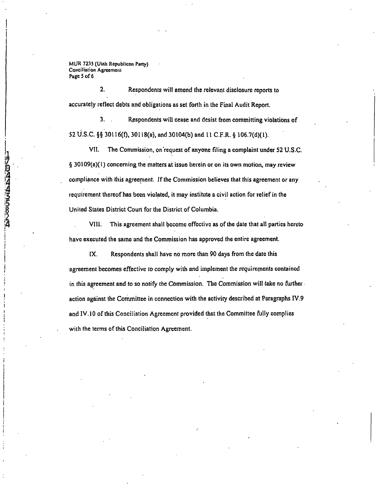MUR 7235 (Ulah Republican Party) Conciliation Agreement Page 5 of 6

**14** 

2. Respondents will amend the relevant disclosure reports to accurately reflect debts and obligations as set forth in the Final Audit Report.

3. Respondents will cease and desist from committing violations of 52 U.S.C. §§ 30116(f), 30118(a). and 30104(b) and 11 C.F.R. § 106.7(d)(1).

VII. The Commission, on'request of anyone filing a complaint under 52 U.S.C. § 30109(a)(1) concerning the matters at issue herein or on its own motion, may review compliance with this agreement. If the Commission believes that this agreement or any requirement thereof has been violated, it may institute a civil action for relief in the United States District Court for the District of Columbia.

VIII. This agreement shall become effective as of the date that all parties hereto have executed the same and the Commission has approved the entire agreement.

IX. Respondents shall have no more than 90 days from the date this agreement becomes effective to comply with and implement the requirements contained in this agreement and to so notify the Commission. The Commission will take no further

action against the Committee in connection with the activity described at Paragraphs IV.9 and IV.10 of this Conciliation Agreement provided that the Committee fully complies with the terms of this Conciliation Agreement.